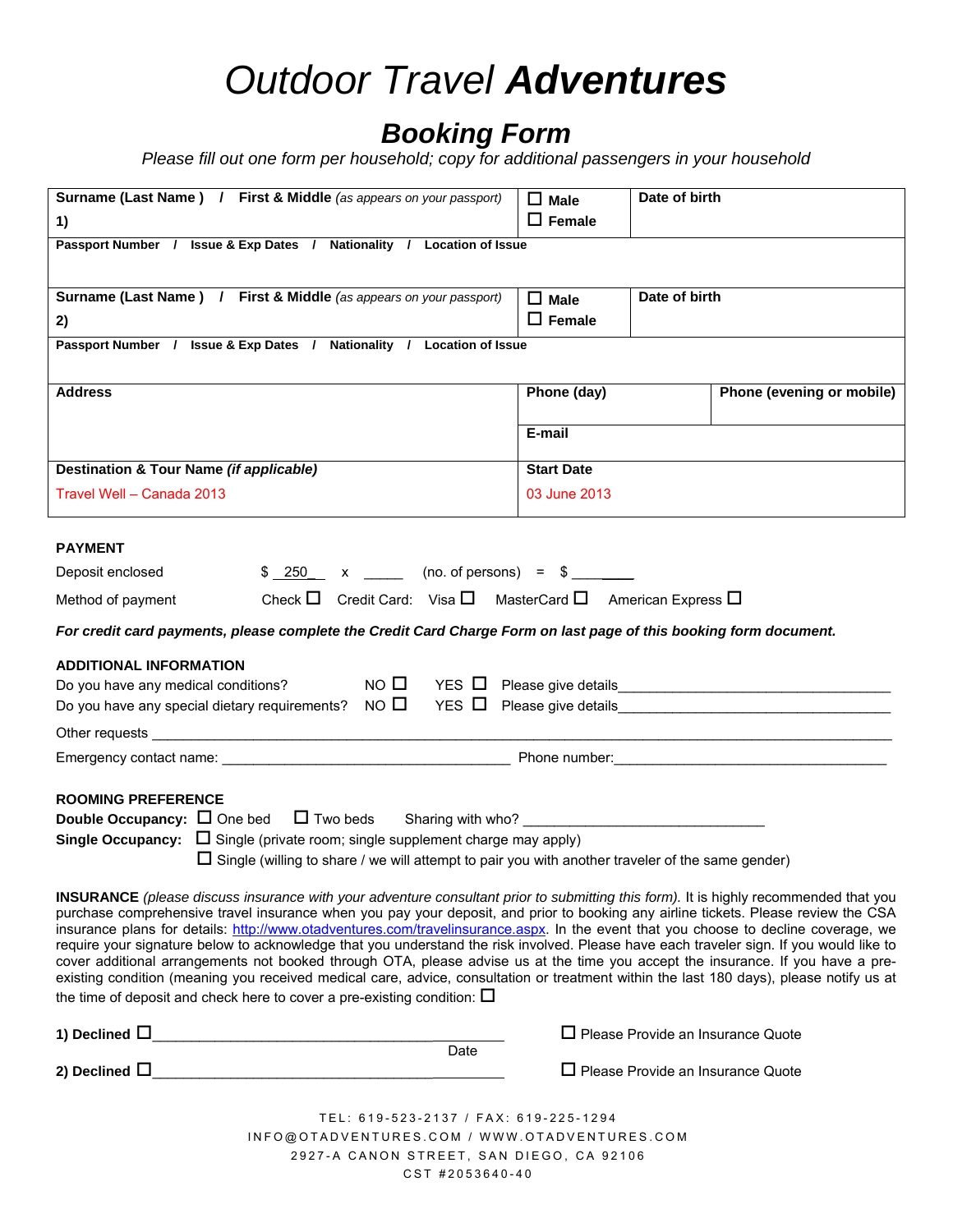## *Outdoor Travel Adventures*

### *Booking Form*

*Please fill out one form per household; copy for additional passengers in your household* 

| Surname (Last Name) / First & Middle (as appears on your passport)                                                                                                                                                                                                         | $\Box$ Male       | Date of birth                            |  |
|----------------------------------------------------------------------------------------------------------------------------------------------------------------------------------------------------------------------------------------------------------------------------|-------------------|------------------------------------------|--|
| 1)                                                                                                                                                                                                                                                                         | $\square$ Female  |                                          |  |
| Passport Number / Issue & Exp Dates / Nationality / Location of Issue                                                                                                                                                                                                      |                   |                                          |  |
|                                                                                                                                                                                                                                                                            |                   |                                          |  |
| Surname (Last Name) / First & Middle (as appears on your passport)                                                                                                                                                                                                         | $\Box$ Male       | Date of birth                            |  |
| 2)                                                                                                                                                                                                                                                                         | $\Box$ Female     |                                          |  |
| Passport Number / Issue & Exp Dates / Nationality / Location of Issue                                                                                                                                                                                                      |                   |                                          |  |
| <b>Address</b>                                                                                                                                                                                                                                                             | Phone (day)       | Phone (evening or mobile)                |  |
|                                                                                                                                                                                                                                                                            |                   |                                          |  |
|                                                                                                                                                                                                                                                                            | E-mail            |                                          |  |
| Destination & Tour Name (if applicable)                                                                                                                                                                                                                                    | <b>Start Date</b> |                                          |  |
| Travel Well - Canada 2013                                                                                                                                                                                                                                                  | 03 June 2013      |                                          |  |
|                                                                                                                                                                                                                                                                            |                   |                                          |  |
| <b>PAYMENT</b>                                                                                                                                                                                                                                                             |                   |                                          |  |
| $$ 250 x \t\t (no. of persons) = $$<br>Deposit enclosed                                                                                                                                                                                                                    |                   |                                          |  |
| Check $\Box$ Credit Card: Visa $\Box$ MasterCard $\Box$ American Express $\Box$<br>Method of payment                                                                                                                                                                       |                   |                                          |  |
| For credit card payments, please complete the Credit Card Charge Form on last page of this booking form document.                                                                                                                                                          |                   |                                          |  |
| <b>ADDITIONAL INFORMATION</b>                                                                                                                                                                                                                                              |                   |                                          |  |
| Do you have any medical conditions? $\Box$ NO $\Box$ YES $\Box$ Please give details $\Box$ Please $\Box$                                                                                                                                                                   |                   |                                          |  |
| Do you have any special dietary requirements? $\overline{N}$ NO $\overline{D}$ YES $\overline{D}$ Please give details                                                                                                                                                      |                   |                                          |  |
|                                                                                                                                                                                                                                                                            |                   |                                          |  |
|                                                                                                                                                                                                                                                                            |                   |                                          |  |
|                                                                                                                                                                                                                                                                            |                   |                                          |  |
| <b>ROOMING PREFERENCE</b>                                                                                                                                                                                                                                                  |                   |                                          |  |
| <b>Double Occupancy:</b> $\Box$ One bed $\Box$ Two beds Sharing with who?                                                                                                                                                                                                  |                   |                                          |  |
| <b>Single Occupancy:</b> $\Box$ Single (private room; single supplement charge may apply)<br>$\Box$ Single (willing to share / we will attempt to pair you with another traveler of the same gender)                                                                       |                   |                                          |  |
|                                                                                                                                                                                                                                                                            |                   |                                          |  |
| <b>INSURANCE</b> (please discuss insurance with your adventure consultant prior to submitting this form). It is highly recommended that you                                                                                                                                |                   |                                          |  |
| purchase comprehensive travel insurance when you pay your deposit, and prior to booking any airline tickets. Please review the CSA<br>insurance plans for details: http://www.otadventures.com/travelinsurance.aspx. In the event that you choose to decline coverage, we  |                   |                                          |  |
| require your signature below to acknowledge that you understand the risk involved. Please have each traveler sign. If you would like to                                                                                                                                    |                   |                                          |  |
| cover additional arrangements not booked through OTA, please advise us at the time you accept the insurance. If you have a pre-<br>existing condition (meaning you received medical care, advice, consultation or treatment within the last 180 days), please notify us at |                   |                                          |  |
| the time of deposit and check here to cover a pre-existing condition: $\square$                                                                                                                                                                                            |                   |                                          |  |
|                                                                                                                                                                                                                                                                            |                   |                                          |  |
| Date                                                                                                                                                                                                                                                                       |                   | $\Box$ Please Provide an Insurance Quote |  |
|                                                                                                                                                                                                                                                                            |                   | $\Box$ Please Provide an Insurance Quote |  |
|                                                                                                                                                                                                                                                                            |                   |                                          |  |
| TEL: 619-523-2137 / FAX: 619-225-1294                                                                                                                                                                                                                                      |                   |                                          |  |
| INFO@OTADVENTURES.COM / WWW.OTADVENTURES.COM                                                                                                                                                                                                                               |                   |                                          |  |
| 2927-A CANON STREET, SAN DIEGO, CA 92106                                                                                                                                                                                                                                   |                   |                                          |  |
| CST #2053640-40                                                                                                                                                                                                                                                            |                   |                                          |  |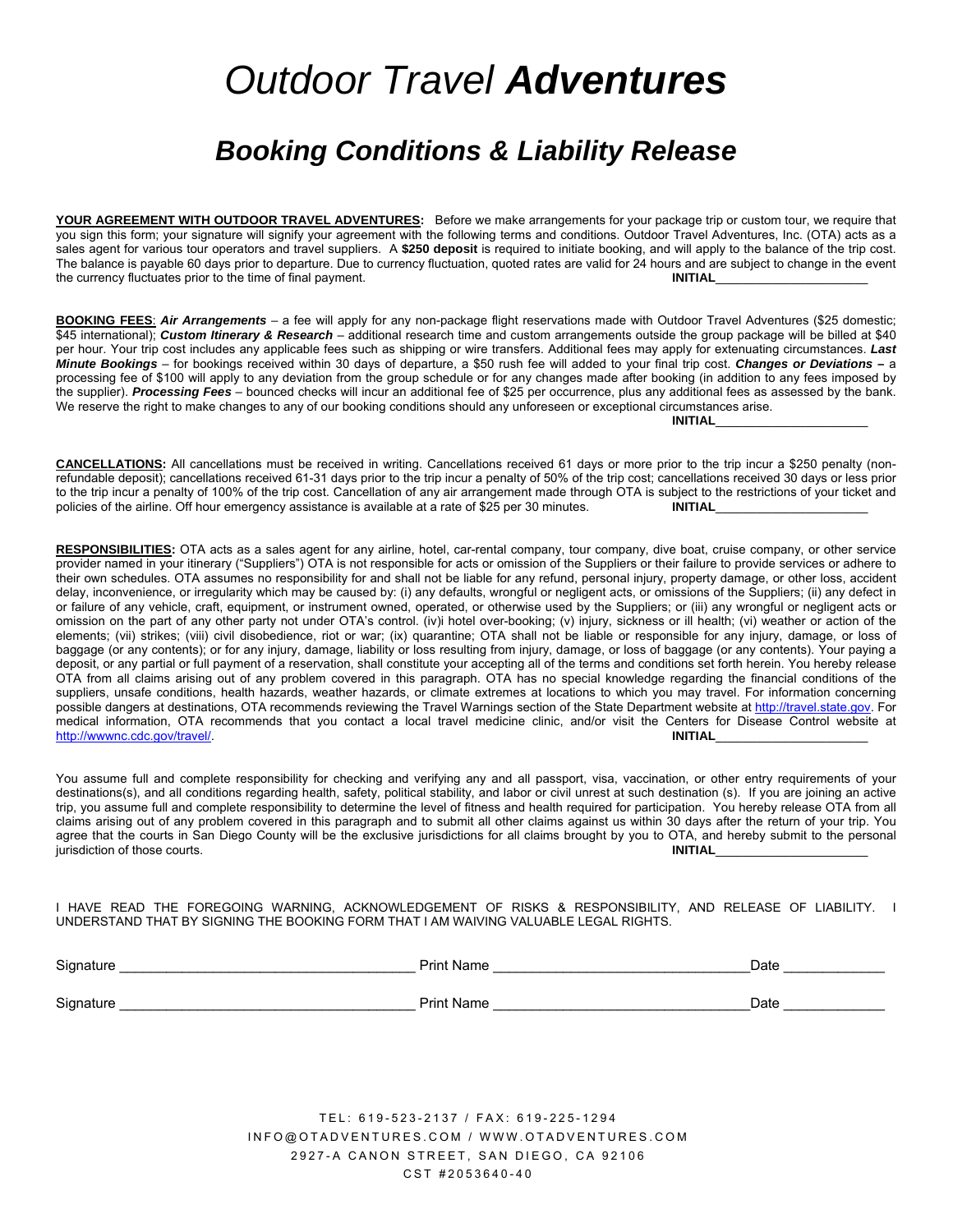## *Outdoor Travel Adventures*

### *Booking Conditions & Liability Release*

**YOUR AGREEMENT WITH OUTDOOR TRAVEL ADVENTURES:** Before we make arrangements for your package trip or custom tour, we require that you sign this form; your signature will signify your agreement with the following terms and conditions. Outdoor Travel Adventures, Inc. (OTA) acts as a sales agent for various tour operators and travel suppliers. A **\$250 deposit** is required to initiate booking, and will apply to the balance of the trip cost. The balance is payable 60 days prior to departure. Due to currency fluctuation, quoted rates are valid for 24 hours and are subject to change in the event the currency fluctuates prior to the time of final payment. **INITIAL** 

**BOOKING FEES**: *Air Arrangements –* a fee will apply for any non-package flight reservations made with Outdoor Travel Adventures (\$25 domestic; \$45 international); *Custom Itinerary & Research* – additional research time and custom arrangements outside the group package will be billed at \$40 per hour. Your trip cost includes any applicable fees such as shipping or wire transfers. Additional fees may apply for extenuating circumstances. *Last Minute Bookings* – for bookings received within 30 days of departure, a \$50 rush fee will added to your final trip cost. *Changes or Deviations* **–** a processing fee of \$100 will apply to any deviation from the group schedule or for any changes made after booking (in addition to any fees imposed by the supplier). *Processing Fees* – bounced checks will incur an additional fee of \$25 per occurrence, plus any additional fees as assessed by the bank. We reserve the right to make changes to any of our booking conditions should any unforeseen or exceptional circumstances arise. **INITIAL**\_\_\_\_\_\_\_\_\_\_\_\_\_\_\_\_\_\_\_\_\_\_

**CANCELLATIONS:** All cancellations must be received in writing. Cancellations received 61 days or more prior to the trip incur a \$250 penalty (nonrefundable deposit); cancellations received 61-31 days prior to the trip incur a penalty of 50% of the trip cost; cancellations received 30 days or less prior to the trip incur a penalty of 100% of the trip cost. Cancellation of any air arrangement made through OTA is subject to the restrictions of your ticket and policies of the airline. Off hour emergency assistance is available at a rate of \$25 per 30 minutes. **INITIAL** 

**RESPONSIBILITIES:** OTA acts as a sales agent for any airline, hotel, car-rental company, tour company, dive boat, cruise company, or other service provider named in your itinerary ("Suppliers") OTA is not responsible for acts or omission of the Suppliers or their failure to provide services or adhere to their own schedules. OTA assumes no responsibility for and shall not be liable for any refund, personal injury, property damage, or other loss, accident delay, inconvenience, or irregularity which may be caused by: (i) any defaults, wrongful or negligent acts, or omissions of the Suppliers; (ii) any defect in or failure of any vehicle, craft, equipment, or instrument owned, operated, or otherwise used by the Suppliers; or (iii) any wrongful or negligent acts or omission on the part of any other party not under OTA's control. (iv)i hotel over-booking; (v) injury, sickness or ill health; (vi) weather or action of the elements; (vii) strikes; (viii) civil disobedience, riot or war; (ix) quarantine; OTA shall not be liable or responsible for any injury, damage, or loss of baggage (or any contents); or for any injury, damage, liability or loss resulting from injury, damage, or loss of baggage (or any contents). Your paying a deposit, or any partial or full payment of a reservation, shall constitute your accepting all of the terms and conditions set forth herein. You hereby release OTA from all claims arising out of any problem covered in this paragraph. OTA has no special knowledge regarding the financial conditions of the suppliers, unsafe conditions, health hazards, weather hazards, or climate extremes at locations to which you may travel. For information concerning possible dangers at destinations, OTA recommends reviewing the Travel Warnings section of the State Department website at http://travel.state.gov. For medical information, OTA recommends that you contact a local travel medicine clinic, and/or visit the Centers for Disease Control website at http://www.nc.cdc.gov/travel/. http://wwwnc.cdc.gov/travel/.

You assume full and complete responsibility for checking and verifying any and all passport, visa, vaccination, or other entry requirements of your destinations(s), and all conditions regarding health, safety, political stability, and labor or civil unrest at such destination (s). If you are joining an active trip, you assume full and complete responsibility to determine the level of fitness and health required for participation. You hereby release OTA from all claims arising out of any problem covered in this paragraph and to submit all other claims against us within 30 days after the return of your trip. You agree that the courts in San Diego County will be the exclusive jurisdictions for all claims brought by you to OTA, and hereby submit to the personal jurisdiction of those courts. jurisdiction of those courts.

I HAVE READ THE FOREGOING WARNING, ACKNOWLEDGEMENT OF RISKS & RESPONSIBILITY, AND RELEASE OF LIABILITY. I UNDERSTAND THAT BY SIGNING THE BOOKING FORM THAT I AM WAIVING VALUABLE LEGAL RIGHTS.

| Signature | Print Name        | Date |
|-----------|-------------------|------|
| Signature | <b>Print Name</b> | Date |

TEL: 619-523-2137 / FAX: 619-225-1294 INFO@OTADVENTURES.COM / WWW.OTADVENTURES.COM 2927-A CANON STREET, SAN DIEGO, CA 92106 CST #2053640-40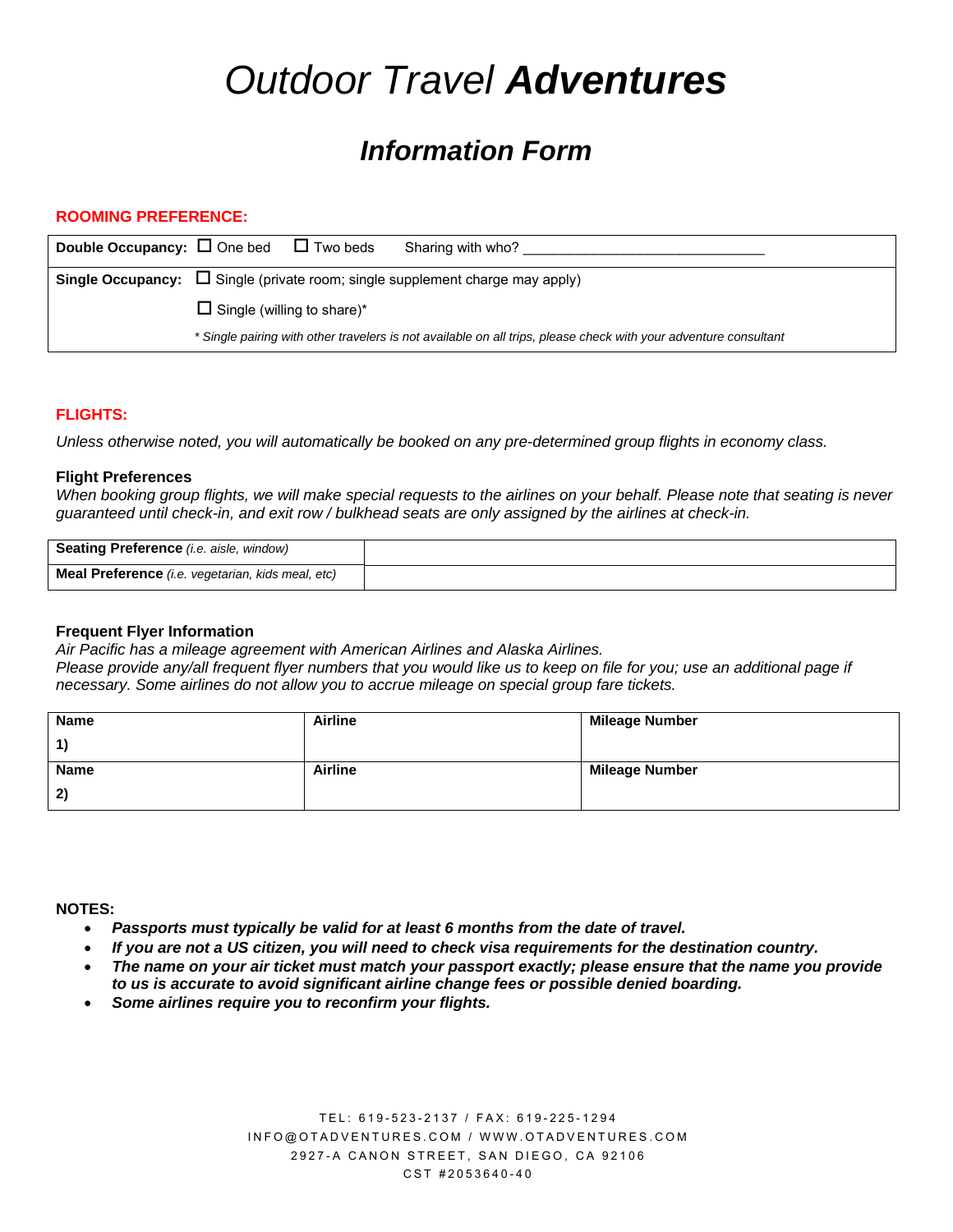# *Outdoor Travel Adventures*

## *Information Form*

#### **ROOMING PREFERENCE:**

| <b>Double Occupancy:</b> $\Box$ One bed $\Box$ Two beds<br>Sharing with who?                                     |
|------------------------------------------------------------------------------------------------------------------|
| <b>Single Occupancy:</b> $\Box$ Single (private room; single supplement charge may apply)                        |
| $\Box$ Single (willing to share)*                                                                                |
| * Single pairing with other travelers is not available on all trips, please check with your adventure consultant |

#### **FLIGHTS:**

*Unless otherwise noted, you will automatically be booked on any pre-determined group flights in economy class.* 

#### **Flight Preferences**

*When booking group flights, we will make special requests to the airlines on your behalf. Please note that seating is never guaranteed until check-in, and exit row / bulkhead seats are only assigned by the airlines at check-in.* 

| <b>Seating Preference</b> (i.e. aisle, window)    |  |
|---------------------------------------------------|--|
| Meal Preference (i.e. vegetarian, kids meal, etc) |  |

#### **Frequent Flyer Information**

*Air Pacific has a mileage agreement with American Airlines and Alaska Airlines.* 

Please provide any/all frequent flyer numbers that you would like us to keep on file for you; use an additional page if *necessary. Some airlines do not allow you to accrue mileage on special group fare tickets.* 

| <b>Name</b> | <b>Airline</b> | <b>Mileage Number</b> |
|-------------|----------------|-----------------------|
| $\vert$ 1)  |                |                       |
| <b>Name</b> | <b>Airline</b> | <b>Mileage Number</b> |
| 2)          |                |                       |

#### **NOTES:**

- *Passports must typically be valid for at least 6 months from the date of travel.*
- *If you are not a US citizen, you will need to check visa requirements for the destination country.*
- *The name on your air ticket must match your passport exactly; please ensure that the name you provide to us is accurate to avoid significant airline change fees or possible denied boarding.*
- *Some airlines require you to reconfirm your flights.*